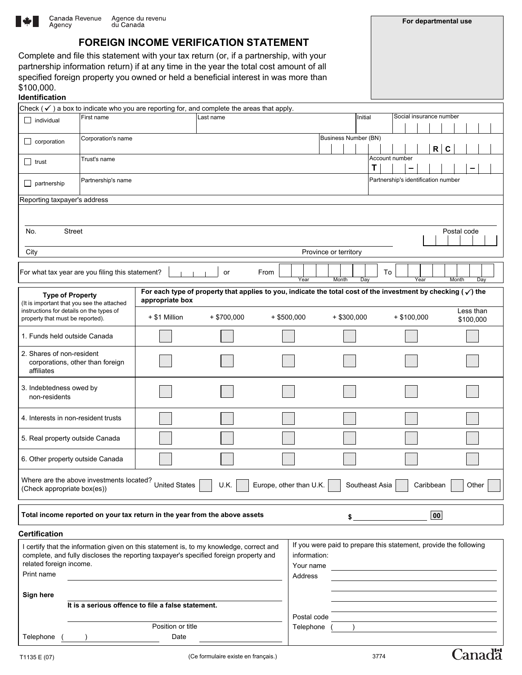

**For departmental use**

# **FOREIGN INCOME VERIFICATION STATEMENT**

Complete and file this statement with your tax return (or, if a partnership, with your partnership information return) if at any time in the year the total cost amount of all specified foreign property you owned or held a beneficial interest in was more than \$100,000.

| Identification                                                                                                                                        |                                                                                                                                                                  |                                                                                                                                           |               |               |                             |                                     |                         |  |  |
|-------------------------------------------------------------------------------------------------------------------------------------------------------|------------------------------------------------------------------------------------------------------------------------------------------------------------------|-------------------------------------------------------------------------------------------------------------------------------------------|---------------|---------------|-----------------------------|-------------------------------------|-------------------------|--|--|
| Check ( $\checkmark$ ) a box to indicate who you are reporting for, and complete the areas that apply.                                                |                                                                                                                                                                  |                                                                                                                                           |               |               |                             |                                     |                         |  |  |
| $\Box$ individual                                                                                                                                     | First name                                                                                                                                                       | Last name                                                                                                                                 |               |               | Initial                     |                                     | Social insurance number |  |  |
|                                                                                                                                                       |                                                                                                                                                                  |                                                                                                                                           |               |               |                             |                                     |                         |  |  |
| $\Box$ corporation                                                                                                                                    | Corporation's name                                                                                                                                               |                                                                                                                                           |               |               | <b>Business Number (BN)</b> |                                     |                         |  |  |
|                                                                                                                                                       |                                                                                                                                                                  |                                                                                                                                           |               |               |                             | R                                   | C                       |  |  |
| $\Box$ trust                                                                                                                                          | Trust's name                                                                                                                                                     |                                                                                                                                           |               |               |                             | Account number                      |                         |  |  |
|                                                                                                                                                       |                                                                                                                                                                  |                                                                                                                                           |               |               | т                           |                                     |                         |  |  |
|                                                                                                                                                       | Partnership's name                                                                                                                                               |                                                                                                                                           |               |               |                             | Partnership's identification number |                         |  |  |
| $\Box$ partnership                                                                                                                                    |                                                                                                                                                                  |                                                                                                                                           |               |               |                             |                                     |                         |  |  |
| Reporting taxpayer's address                                                                                                                          |                                                                                                                                                                  |                                                                                                                                           |               |               |                             |                                     |                         |  |  |
|                                                                                                                                                       |                                                                                                                                                                  |                                                                                                                                           |               |               |                             |                                     |                         |  |  |
|                                                                                                                                                       |                                                                                                                                                                  |                                                                                                                                           |               |               |                             |                                     |                         |  |  |
| No.<br><b>Street</b>                                                                                                                                  |                                                                                                                                                                  |                                                                                                                                           |               |               |                             |                                     | Postal code             |  |  |
|                                                                                                                                                       |                                                                                                                                                                  |                                                                                                                                           |               |               |                             |                                     |                         |  |  |
| City                                                                                                                                                  |                                                                                                                                                                  |                                                                                                                                           |               |               | Province or territory       |                                     |                         |  |  |
|                                                                                                                                                       |                                                                                                                                                                  |                                                                                                                                           |               |               |                             |                                     |                         |  |  |
|                                                                                                                                                       | For what tax year are you filing this statement?                                                                                                                 |                                                                                                                                           | or            | From          |                             | To                                  |                         |  |  |
|                                                                                                                                                       |                                                                                                                                                                  |                                                                                                                                           |               | Year          | Month<br>Day                | Year                                | Month<br>Day            |  |  |
|                                                                                                                                                       |                                                                                                                                                                  |                                                                                                                                           |               |               |                             |                                     |                         |  |  |
| <b>Type of Property</b><br>(It is important that you see the attached<br>instructions for details on the types of<br>property that must be reported). |                                                                                                                                                                  | For each type of property that applies to you, indicate the total cost of the investment by checking ( $\sqrt{}$ ) the<br>appropriate box |               |               |                             |                                     |                         |  |  |
|                                                                                                                                                       |                                                                                                                                                                  |                                                                                                                                           |               |               |                             |                                     | Less than               |  |  |
|                                                                                                                                                       |                                                                                                                                                                  | + \$1 Million                                                                                                                             | $+$ \$700,000 | $+$ \$500,000 | $+$ \$300,000               | $+$ \$100,000                       | \$100,000               |  |  |
|                                                                                                                                                       |                                                                                                                                                                  |                                                                                                                                           |               |               |                             |                                     |                         |  |  |
| 1. Funds held outside Canada                                                                                                                          |                                                                                                                                                                  |                                                                                                                                           |               |               |                             |                                     |                         |  |  |
|                                                                                                                                                       |                                                                                                                                                                  |                                                                                                                                           |               |               |                             |                                     |                         |  |  |
| 2. Shares of non-resident                                                                                                                             |                                                                                                                                                                  |                                                                                                                                           |               |               |                             |                                     |                         |  |  |
| corporations, other than foreign<br>affiliates                                                                                                        |                                                                                                                                                                  |                                                                                                                                           |               |               |                             |                                     |                         |  |  |
|                                                                                                                                                       |                                                                                                                                                                  |                                                                                                                                           |               |               |                             |                                     |                         |  |  |
| 3. Indebtedness owed by                                                                                                                               |                                                                                                                                                                  |                                                                                                                                           |               |               |                             |                                     |                         |  |  |
| non-residents                                                                                                                                         |                                                                                                                                                                  |                                                                                                                                           |               |               |                             |                                     |                         |  |  |
|                                                                                                                                                       |                                                                                                                                                                  |                                                                                                                                           |               |               |                             |                                     |                         |  |  |
| 4. Interests in non-resident trusts                                                                                                                   |                                                                                                                                                                  |                                                                                                                                           |               |               |                             |                                     |                         |  |  |
|                                                                                                                                                       |                                                                                                                                                                  |                                                                                                                                           |               |               |                             |                                     |                         |  |  |
| 5. Real property outside Canada                                                                                                                       |                                                                                                                                                                  |                                                                                                                                           |               |               |                             |                                     |                         |  |  |
|                                                                                                                                                       |                                                                                                                                                                  |                                                                                                                                           |               |               |                             |                                     |                         |  |  |
| 6. Other property outside Canada                                                                                                                      |                                                                                                                                                                  |                                                                                                                                           |               |               |                             |                                     |                         |  |  |
|                                                                                                                                                       |                                                                                                                                                                  |                                                                                                                                           |               |               |                             |                                     |                         |  |  |
|                                                                                                                                                       |                                                                                                                                                                  |                                                                                                                                           |               |               |                             |                                     |                         |  |  |
|                                                                                                                                                       | Where are the above investments located? United States<br>U.K.<br>Europe, other than U.K.<br>Southeast Asia<br>Caribbean<br>Other<br>(Check appropriate box(es)) |                                                                                                                                           |               |               |                             |                                     |                         |  |  |
|                                                                                                                                                       |                                                                                                                                                                  |                                                                                                                                           |               |               |                             |                                     |                         |  |  |
|                                                                                                                                                       |                                                                                                                                                                  |                                                                                                                                           |               |               |                             |                                     |                         |  |  |
| Total income reported on your tax return in the year from the above assets<br>$\overline{\mathbf{0}}$<br>\$                                           |                                                                                                                                                                  |                                                                                                                                           |               |               |                             |                                     |                         |  |  |
|                                                                                                                                                       |                                                                                                                                                                  |                                                                                                                                           |               |               |                             |                                     |                         |  |  |
| <b>Certification</b>                                                                                                                                  |                                                                                                                                                                  |                                                                                                                                           |               |               |                             |                                     |                         |  |  |

| certify that the information given on this statement is, to my knowledge, correct and<br>complete, and fully discloses the reporting taxpayer's specified foreign property and |                                                    |             | If you were paid to prepare this statement, provide the following<br>information: |  |  |  |
|--------------------------------------------------------------------------------------------------------------------------------------------------------------------------------|----------------------------------------------------|-------------|-----------------------------------------------------------------------------------|--|--|--|
| related foreign income.                                                                                                                                                        |                                                    | Your name   |                                                                                   |  |  |  |
| Print name                                                                                                                                                                     |                                                    | Address     |                                                                                   |  |  |  |
| Sign here                                                                                                                                                                      |                                                    |             |                                                                                   |  |  |  |
|                                                                                                                                                                                | It is a serious offence to file a false statement. |             |                                                                                   |  |  |  |
|                                                                                                                                                                                |                                                    | Postal code |                                                                                   |  |  |  |
|                                                                                                                                                                                | Position or title                                  | Telephone   |                                                                                   |  |  |  |
| Telephone                                                                                                                                                                      | Date                                               |             |                                                                                   |  |  |  |

г

**Canada**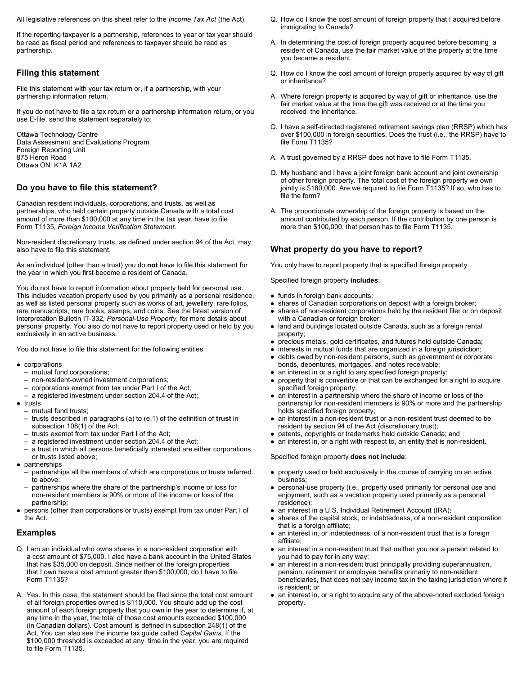All legislative references on this sheet refer to the *Income Tax Act* (the Act).

If the reporting taxpayer is a partnership, references to year or tax year should be read as fiscal period and references to taxpayer should be read as partnership.

# **Filing this statement**

File this statement with your tax return or, if a partnership, with your partnership information return.

If you do not have to file a tax return or a partnership information return, or you use E-file, send this statement separately to:

Ottawa Technology Centre Data Assessment and Evaluations Program Foreign Reporting Unit 875 Heron Road Ottawa ON K1A 1A2

# **Do you have to file this statement?**

Canadian resident individuals, corporations, and trusts, as well as partnerships, who held certain property outside Canada with a total cost amount of more than \$100,000 at any time in the tax year, have to file Form T1135, *Foreign Income Verification Statement*.

Non-resident discretionary trusts, as defined under section 94 of the Act, may also have to file this statement.

As an individual (other than a trust) you do **not** have to file this statement for the year in which you first become a resident of Canada.

You do not have to report information about property held for personal use. This includes vacation property used by you primarily as a personal residence, as well as listed personal property such as works of art, jewellery, rare folios, rare manuscripts, rare books, stamps, and coins. See the latest version of Interpretation Bulletin IT-332, *Personal-Use Property*, for more details about personal property. You also do not have to report property used or held by you exclusively in an active business.

You do not have to file this statement for the following entities:

- $\bullet$  corporations
	- mutual fund corporations;
	- non-resident-owned investment corporations;
	- corporations exempt from tax under Part I of the Act;
	- a registered investment under section 204.4 of the Act;
- $\bullet$  trusts
	- mutual fund trusts;
	- trusts described in paragraphs (a) to (e.1) of the definition of **trust** in subsection 108(1) of the Act;
	- trusts exempt from tax under Part I of the Act;
	- a registered investment under section 204.4 of the Act;
	- a trust in which all persons beneficially interested are either corporations or trusts listed above;
- $\bullet$  partnerships
	- partnerships all the members of which are corporations or trusts referred to above;
	- partnerships where the share of the partnership's income or loss for non-resident members is 90% or more of the income or loss of the partnership;
- persons (other than corporations or trusts) exempt from tax under Part I of the Act.

#### **Examples**

- Q. I am an individual who owns shares in a non-resident corporation with a cost amount of \$75,000. I also have a bank account in the United States that has \$35,000 on deposit. Since neither of the foreign properties that I own have a cost amount greater than \$100,000, do I have to file Form T1135?
- A. Yes. In this case, the statement should be filed since the total cost amount of all foreign properties owned is \$110,000. You should add up the cost amount of each foreign property that you own in the year to determine if, at any time in the year, the total of those cost amounts exceeded \$100,000 (in Canadian dollars). Cost amount is defined in subsection 248(1) of the Act. You can also see the income tax guide called *Capital Gains*. If the \$100,000 threshold is exceeded at any time in the year, you are required to file Form T1135.
- Q. How do I know the cost amount of foreign property that I acquired before immigrating to Canada?
- A. In determining the cost of foreign property acquired before becoming a resident of Canada, use the fair market value of the property at the time you became a resident.
- Q. How do I know the cost amount of foreign property acquired by way of gift or inheritance?
- A. Where foreign property is acquired by way of gift or inheritance, use the fair market value at the time the gift was received or at the time you received the inheritance.
- Q. I have a self-directed registered retirement savings plan (RRSP) which has over \$100,000 in foreign securities. Does the trust (i.e., the RRSP) have to file Form T1135?
- A. A trust governed by a RRSP does not have to file Form T1135.
- Q. My husband and I have a joint foreign bank account and joint ownership of other foreign property. The total cost of the foreign property we own jointly is \$180,000. Are we required to file Form T1135? If so, who has to file the form?
- A. The proportionate ownership of the foreign property is based on the amount contributed by each person. If the contribution by one person is more than \$100,000, that person has to file Form T1135.

# **What property do you have to report?**

You only have to report property that is specified foreign property.

Specified foreign property **includes**:

- $\bullet$  funds in foreign bank accounts:
- $\bullet$  shares of Canadian corporations on deposit with a foreign broker;
- $\bullet$  shares of non-resident corporations held by the resident filer or on deposit with a Canadian or foreign broker;
- land and buildings located outside Canada, such as a foreign rental property;
- precious metals, gold certificates, and futures held outside Canada;
- $\bullet$  interests in mutual funds that are organized in a foreign jurisdiction; • debts owed by non-resident persons, such as government or corporate bonds, debentures, mortgages, and notes receivable;
- $\bullet$  an interest in or a right to any specified foreign property;
- property that is convertible or that can be exchanged for a right to acquire specified foreign property;
- $\bullet$  an interest in a partnership where the share of income or loss of the partnership for non-resident members is 90% or more and the partnership holds specified foreign property;
- $\bullet$  an interest in a non-resident trust or a non-resident trust deemed to be resident by section 94 of the Act (discretionary trust);
- patents, copyrights or trademarks held outside Canada; and
- $\bullet$  an interest in, or a right with respect to, an entity that is non-resident.

#### Specified foreign property **does not include**:

- property used or held exclusively in the course of carrying on an active business;
- personal-use property (i.e., property used primarily for personal use and enjoyment, such as a vacation property used primarily as a personal residence);
- an interest in a U.S. Individual Retirement Account (IRA);
- shares of the capital stock, or indebtedness, of a non-resident corporation that is a foreign affiliate;
- $\bullet$  an interest in, or indebtedness, of a non-resident trust that is a foreign affiliate;
- an interest in a non-resident trust that neither you nor a person related to you had to pay for in any way;
- an interest in a non-resident trust principally providing superannuation, pension, retirement or employee benefits primarily to non-resident beneficiaries, that does not pay income tax in the taxing jurisdiction where it is resident; or
- an interest in, or a right to acquire any of the above-noted excluded foreign property.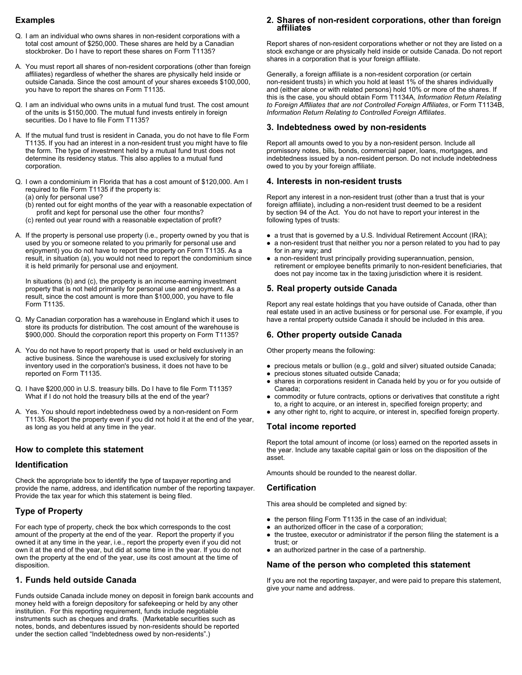### **Examples**

- Q. I am an individual who owns shares in non-resident corporations with a total cost amount of \$250,000. These shares are held by a Canadian stockbroker. Do I have to report these shares on Form T1135?
- A. You must report all shares of non-resident corporations (other than foreign affiliates) regardless of whether the shares are physically held inside or outside Canada. Since the cost amount of your shares exceeds \$100,000, you have to report the shares on Form T1135.
- Q. I am an individual who owns units in a mutual fund trust. The cost amount of the units is \$150,000. The mutual fund invests entirely in foreign securities. Do I have to file Form T1135?
- A. If the mutual fund trust is resident in Canada, you do not have to file Form T1135. If you had an interest in a non-resident trust you might have to file the form. The type of investment held by a mutual fund trust does not determine its residency status. This also applies to a mutual fund corporation.
- Q. I own a condominium in Florida that has a cost amount of \$120,000. Am I required to file Form T1135 if the property is: (a) only for personal use?
	- (b) rented out for eight months of the year with a reasonable expectation of profit and kept for personal use the other four months?
	- (c) rented out year round with a reasonable expectation of profit?
- A. If the property is personal use property (i.e., property owned by you that is used by you or someone related to you primarily for personal use and enjoyment) you do not have to report the property on Form T1135. As a result, in situation (a), you would not need to report the condominium since it is held primarily for personal use and enjoyment.

In situations (b) and (c), the property is an income-earning investment property that is not held primarily for personal use and enjoyment. As a result, since the cost amount is more than \$100,000, you have to file Form T1135.

- Q. My Canadian corporation has a warehouse in England which it uses to store its products for distribution. The cost amount of the warehouse is \$900,000. Should the corporation report this property on Form T1135?
- A. You do not have to report property that is used or held exclusively in an active business. Since the warehouse is used exclusively for storing inventory used in the corporation's business, it does not have to be reported on Form T1135.
- Q. I have \$200,000 in U.S. treasury bills. Do I have to file Form T1135? What if I do not hold the treasury bills at the end of the year?
- A. Yes. You should report indebtedness owed by a non-resident on Form T1135. Report the property even if you did not hold it at the end of the year, as long as you held at any time in the year.

#### **How to complete this statement**

#### **Identification**

Check the appropriate box to identify the type of taxpayer reporting and provide the name, address, and identification number of the reporting taxpayer. Provide the tax year for which this statement is being filed.

#### **Type of Property**

For each type of property, check the box which corresponds to the cost amount of the property at the end of the year. Report the property if you owned it at any time in the year, i.e., report the property even if you did not own it at the end of the year, but did at some time in the year. If you do not own the property at the end of the year, use its cost amount at the time of disposition.

### **1. Funds held outside Canada**

Funds outside Canada include money on deposit in foreign bank accounts and money held with a foreign depository for safekeeping or held by any other institution. For this reporting requirement, funds include negotiable instruments such as cheques and drafts. (Marketable securities such as notes, bonds, and debentures issued by non-residents should be reported under the section called "Indebtedness owed by non-residents".)

# **2. Shares of non-resident corporations, other than foreign affiliates**

Report shares of non-resident corporations whether or not they are listed on a stock exchange or are physically held inside or outside Canada. Do not report shares in a corporation that is your foreign affiliate.

Generally, a foreign affiliate is a non-resident corporation (or certain non-resident trusts) in which you hold at least 1% of the shares individually and (either alone or with related persons) hold 10% or more of the shares. If this is the case, you should obtain Form T1134A, *Information Return Relating to Foreign Affiliates that are not Controlled Foreign Affiliates*, or Form T1134B, *Information Return Relating to Controlled Foreign Affiliates*.

#### **3. Indebtedness owed by non-residents**

Report all amounts owed to you by a non-resident person. Include all promissory notes, bills, bonds, commercial paper, loans, mortgages, and indebtedness issued by a non-resident person. Do not include indebtedness owed to you by your foreign affiliate.

#### **4. Interests in non-resident trusts**

Report any interest in a non-resident trust (other than a trust that is your foreign affiliate), including a non-resident trust deemed to be a resident by section 94 of the Act. You do not have to report your interest in the following types of trusts:

- a trust that is governed by a U.S. Individual Retirement Account (IRA);
- a non-resident trust that neither you nor a person related to you had to pay for in any way; and
- a non-resident trust principally providing superannuation, pension, retirement or employee benefits primarily to non-resident beneficiaries, that does not pay income tax in the taxing jurisdiction where it is resident.

#### **5. Real property outside Canada**

Report any real estate holdings that you have outside of Canada, other than real estate used in an active business or for personal use. For example, if you have a rental property outside Canada it should be included in this area.

#### **6. Other property outside Canada**

Other property means the following:

- precious metals or bullion (e.g., gold and silver) situated outside Canada;
- precious stones situated outside Canada;
- shares in corporations resident in Canada held by you or for you outside of Canada;
- commodity or future contracts, options or derivatives that constitute a right to, a right to acquire, or an interest in, specified foreign property; and
- any other right to, right to acquire, or interest in, specified foreign property.

# **Total income reported**

Report the total amount of income (or loss) earned on the reported assets in the year. Include any taxable capital gain or loss on the disposition of the asset.

Amounts should be rounded to the nearest dollar.

#### **Certification**

This area should be completed and signed by:

- the person filing Form T1135 in the case of an individual;
- $\bullet$  an authorized officer in the case of a corporation:
- the trustee, executor or administrator if the person filing the statement is a trust; or
- $\bullet$  an authorized partner in the case of a partnership.

#### **Name of the person who completed this statement**

If you are not the reporting taxpayer, and were paid to prepare this statement, give your name and address.